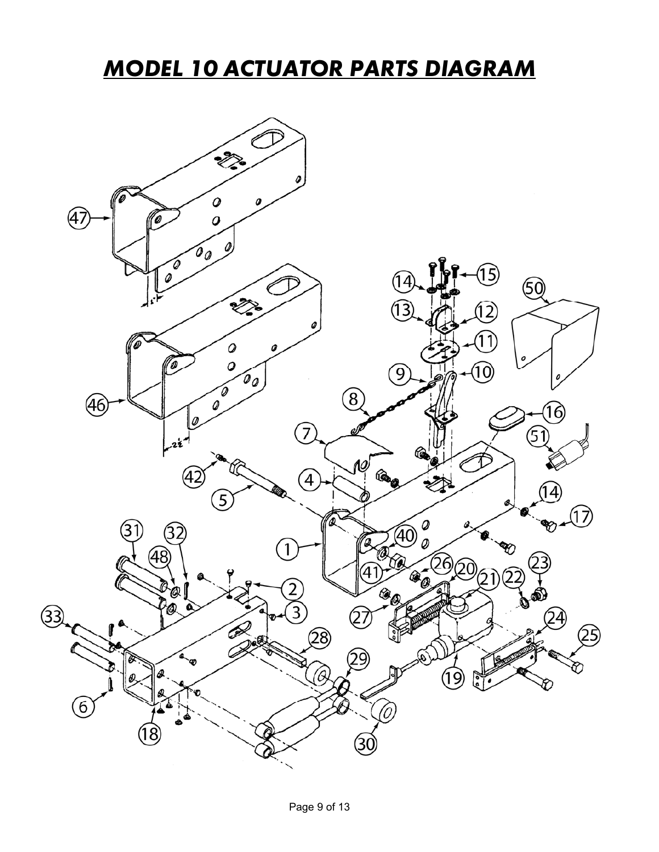### *MODEL 10 ACTUATOR PARTS DIAGRAM*

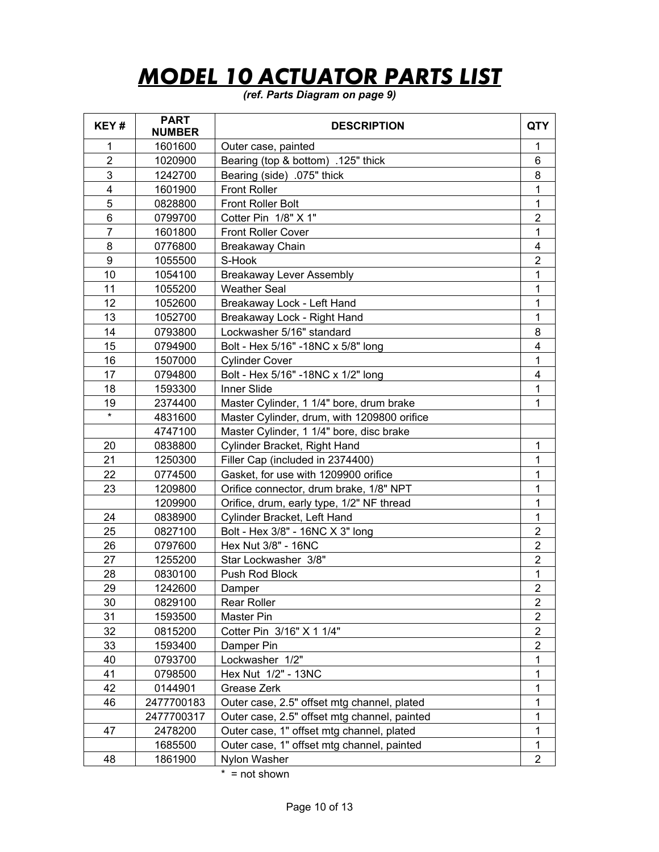# *MODEL 10 ACTUATOR PARTS LIST*

#### *(ref. Parts Diagram on page 9)*

| KEY#                    | <b>PART</b><br><b>NUMBER</b> | <b>DESCRIPTION</b>                           | <b>QTY</b>          |  |
|-------------------------|------------------------------|----------------------------------------------|---------------------|--|
| 1                       | 1601600                      | Outer case, painted                          | 1                   |  |
| $\overline{2}$          | 1020900                      | Bearing (top & bottom) .125" thick           |                     |  |
| 3                       | 1242700                      | Bearing (side) .075" thick                   |                     |  |
| $\overline{\mathbf{4}}$ | 1601900                      | <b>Front Roller</b>                          |                     |  |
| 5                       | 0828800                      | <b>Front Roller Bolt</b>                     |                     |  |
| $\,6$                   | 0799700                      | Cotter Pin 1/8" X 1"                         |                     |  |
| $\overline{7}$          | 1601800                      | <b>Front Roller Cover</b>                    | $\overline{2}$<br>1 |  |
| 8                       | 0776800                      | Breakaway Chain                              |                     |  |
| 9                       | 1055500                      | S-Hook                                       | 4<br>$\overline{2}$ |  |
| 10                      | 1054100                      | <b>Breakaway Lever Assembly</b>              | 1                   |  |
| 11                      | 1055200                      | <b>Weather Seal</b>                          | 1                   |  |
| 12                      | 1052600                      | Breakaway Lock - Left Hand                   | 1                   |  |
| 13                      | 1052700                      | Breakaway Lock - Right Hand                  | 1                   |  |
| 14                      | 0793800                      | Lockwasher 5/16" standard                    | 8                   |  |
| 15                      | 0794900                      | Bolt - Hex 5/16" -18NC x 5/8" long           | 4                   |  |
| 16                      | 1507000                      | <b>Cylinder Cover</b>                        | 1                   |  |
| 17                      | 0794800                      | Bolt - Hex 5/16" - 18NC x 1/2" long          | 4                   |  |
| 18                      | 1593300                      | Inner Slide                                  | 1                   |  |
| 19                      | 2374400                      | Master Cylinder, 1 1/4" bore, drum brake     | 1                   |  |
|                         | 4831600                      | Master Cylinder, drum, with 1209800 orifice  |                     |  |
|                         | 4747100                      | Master Cylinder, 1 1/4" bore, disc brake     |                     |  |
| 20                      | 0838800                      | Cylinder Bracket, Right Hand                 | $\mathbf{1}$        |  |
| 21                      | 1250300                      | Filler Cap (included in 2374400)             | 1                   |  |
| 22                      | 0774500                      | Gasket, for use with 1209900 orifice         | 1                   |  |
| 23                      | 1209800                      | Orifice connector, drum brake, 1/8" NPT      | 1                   |  |
|                         | 1209900                      | Orifice, drum, early type, 1/2" NF thread    | 1                   |  |
| 24                      | 0838900                      | Cylinder Bracket, Left Hand                  |                     |  |
| 25                      | 0827100                      | Bolt - Hex 3/8" - 16NC X 3" long             |                     |  |
| 26                      | 0797600                      | Hex Nut 3/8" - 16NC                          |                     |  |
| 27                      | 1255200                      | Star Lockwasher 3/8"                         |                     |  |
| 28                      | 0830100                      | Push Rod Block                               | 1                   |  |
| 29                      | 1242600                      | Damper                                       | $\overline{2}$      |  |
| 30                      | 0829100                      | <b>Rear Roller</b>                           | 2                   |  |
| 31                      | 1593500                      | <b>Master Pin</b>                            | 2                   |  |
| 32                      | 0815200                      | Cotter Pin 3/16" X 1 1/4"                    | $\overline{2}$      |  |
| 33                      | 1593400                      | Damper Pin                                   | $\overline{2}$      |  |
| 40                      | 0793700                      | Lockwasher 1/2"                              | 1                   |  |
| 41                      | 0798500                      | Hex Nut 1/2" - 13NC                          | 1                   |  |
| 42                      | 0144901                      | Grease Zerk                                  | 1                   |  |
| 46                      | 2477700183                   | Outer case, 2.5" offset mtg channel, plated  | 1                   |  |
|                         | 2477700317                   | Outer case, 2.5" offset mtg channel, painted | 1                   |  |
| 47                      | 2478200                      | Outer case, 1" offset mtg channel, plated    | 1                   |  |
|                         | 1685500                      | Outer case, 1" offset mtg channel, painted   | 1                   |  |
| 48                      | 1861900                      | Nylon Washer                                 | $\overline{2}$      |  |

\* = not shown